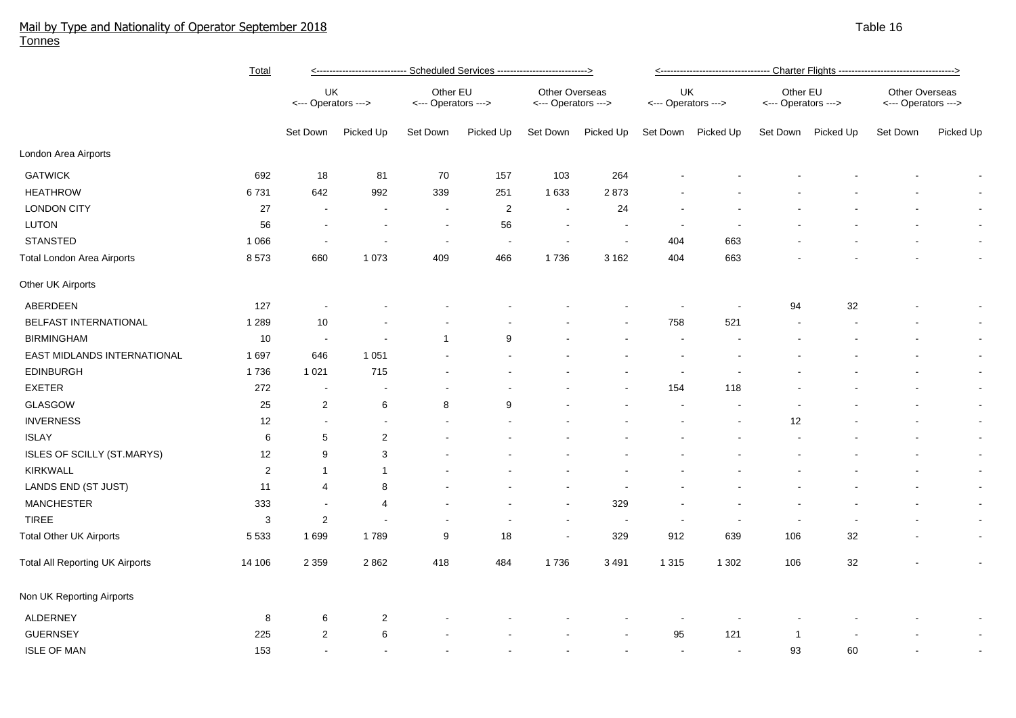## Mail by Type and Nationality of Operator September 2018 Table 16 Tonnes

|                                        | Total          | <---------------------------- Scheduled Services --------------------------> |                          |                                 |                         |                                       |           |                           | <---------------------------------- Charter Flights ----------------------------------> |                                 |                    |                                       |                          |  |  |
|----------------------------------------|----------------|------------------------------------------------------------------------------|--------------------------|---------------------------------|-------------------------|---------------------------------------|-----------|---------------------------|-----------------------------------------------------------------------------------------|---------------------------------|--------------------|---------------------------------------|--------------------------|--|--|
|                                        |                | UK<br><--- Operators --->                                                    |                          | Other EU<br><--- Operators ---> |                         | Other Overseas<br><--- Operators ---> |           | UK<br><--- Operators ---> |                                                                                         | Other EU<br><--- Operators ---> |                    | Other Overseas<br><--- Operators ---> |                          |  |  |
|                                        |                | Set Down                                                                     | Picked Up                | Set Down                        | Picked Up               | Set Down                              | Picked Up |                           | Set Down Picked Up                                                                      |                                 | Set Down Picked Up | Set Down                              | Picked Up                |  |  |
| London Area Airports                   |                |                                                                              |                          |                                 |                         |                                       |           |                           |                                                                                         |                                 |                    |                                       |                          |  |  |
| <b>GATWICK</b>                         | 692            | 18                                                                           | 81                       | 70                              | 157                     | 103                                   | 264       |                           |                                                                                         |                                 |                    |                                       |                          |  |  |
| <b>HEATHROW</b>                        | 6731           | 642                                                                          | 992                      | 339                             | 251                     | 1 6 3 3                               | 2873      |                           |                                                                                         |                                 |                    |                                       | $\sim$                   |  |  |
| <b>LONDON CITY</b>                     | 27             |                                                                              | $\overline{\phantom{a}}$ | $\blacksquare$                  | $\overline{\mathbf{c}}$ | $\sim$                                | 24        |                           |                                                                                         |                                 |                    |                                       | $\sim$                   |  |  |
| LUTON                                  | 56             |                                                                              | $\overline{\phantom{a}}$ | $\overline{\phantom{a}}$        | 56                      | $\sim$                                |           |                           |                                                                                         |                                 |                    |                                       | $\blacksquare$           |  |  |
| <b>STANSTED</b>                        | 1 0 6 6        |                                                                              |                          | $\overline{\phantom{a}}$        |                         | $\overline{\phantom{a}}$              |           | 404                       | 663                                                                                     |                                 |                    |                                       | $\blacksquare$           |  |  |
| Total London Area Airports             | 8573           | 660                                                                          | 1 0 7 3                  | 409                             | 466                     | 1736                                  | 3 1 6 2   | 404                       | 663                                                                                     |                                 |                    |                                       | $\blacksquare$           |  |  |
| Other UK Airports                      |                |                                                                              |                          |                                 |                         |                                       |           |                           |                                                                                         |                                 |                    |                                       |                          |  |  |
| ABERDEEN                               | 127            |                                                                              |                          |                                 |                         |                                       |           |                           |                                                                                         | 94                              | 32                 |                                       | $\overline{\phantom{a}}$ |  |  |
| <b>BELFAST INTERNATIONAL</b>           | 1 2 8 9        | 10                                                                           |                          |                                 |                         |                                       |           | 758                       | 521                                                                                     |                                 |                    |                                       | $\blacksquare$           |  |  |
| <b>BIRMINGHAM</b>                      | 10             | $\sim$                                                                       |                          | $\overline{1}$                  | 9                       |                                       |           |                           |                                                                                         |                                 |                    |                                       | $\sim$                   |  |  |
| EAST MIDLANDS INTERNATIONAL            | 1697           | 646                                                                          | 1 0 5 1                  |                                 |                         |                                       |           |                           |                                                                                         |                                 |                    |                                       | $\sim$                   |  |  |
| <b>EDINBURGH</b>                       | 1736           | 1 0 2 1                                                                      | 715                      |                                 |                         |                                       |           | $\overline{\phantom{a}}$  |                                                                                         |                                 |                    |                                       | $\sim$                   |  |  |
| <b>EXETER</b>                          | 272            | $\overline{\phantom{a}}$                                                     | $\overline{\phantom{a}}$ |                                 |                         |                                       |           | 154                       | 118                                                                                     |                                 |                    |                                       | $\sim$                   |  |  |
| <b>GLASGOW</b>                         | 25             | 2                                                                            | 6                        | 8                               | 9                       |                                       |           |                           |                                                                                         |                                 |                    |                                       | $\sim$                   |  |  |
| <b>INVERNESS</b>                       | 12             |                                                                              | $\blacksquare$           |                                 |                         |                                       |           |                           |                                                                                         | 12                              |                    |                                       | $\sim$                   |  |  |
| <b>ISLAY</b>                           | 6              | 5                                                                            | $\overline{2}$           |                                 |                         |                                       |           |                           |                                                                                         |                                 |                    |                                       | $\bullet$                |  |  |
| ISLES OF SCILLY (ST.MARYS)             | 12             | 9                                                                            | 3                        |                                 |                         |                                       |           |                           |                                                                                         |                                 |                    |                                       | $\sim$                   |  |  |
| <b>KIRKWALL</b>                        | $\overline{2}$ | -1                                                                           | $\mathbf{1}$             |                                 |                         |                                       |           |                           |                                                                                         |                                 |                    |                                       | $\sim$                   |  |  |
| LANDS END (ST JUST)                    | 11             | 4                                                                            | 8                        |                                 |                         |                                       |           |                           |                                                                                         |                                 |                    |                                       | $\sim$                   |  |  |
| <b>MANCHESTER</b>                      | 333            | $\overline{\phantom{a}}$                                                     | 4                        |                                 |                         |                                       | 329       |                           |                                                                                         |                                 |                    |                                       | $\sim$                   |  |  |
| <b>TIREE</b>                           | 3              | $\overline{2}$                                                               |                          |                                 |                         |                                       |           |                           |                                                                                         |                                 |                    |                                       | $\sim$                   |  |  |
| <b>Total Other UK Airports</b>         | 5 5 3 3        | 1699                                                                         | 1789                     | 9                               | 18                      | $\sim$                                | 329       | 912                       | 639                                                                                     | 106                             | 32                 |                                       | $\sim$                   |  |  |
| <b>Total All Reporting UK Airports</b> | 14 106         | 2 3 5 9                                                                      | 2862                     | 418                             | 484                     | 1736                                  | 3 4 9 1   | 1 3 1 5                   | 1 3 0 2                                                                                 | 106                             | 32                 |                                       | $\overline{\phantom{a}}$ |  |  |
| Non UK Reporting Airports              |                |                                                                              |                          |                                 |                         |                                       |           |                           |                                                                                         |                                 |                    |                                       |                          |  |  |
| <b>ALDERNEY</b>                        | 8              | 6                                                                            | $\overline{2}$           |                                 |                         |                                       |           |                           |                                                                                         |                                 |                    |                                       |                          |  |  |
| <b>GUERNSEY</b>                        | 225            | 2                                                                            | 6                        |                                 |                         |                                       |           | 95                        | 121                                                                                     |                                 |                    |                                       |                          |  |  |
| <b>ISLE OF MAN</b>                     | 153            |                                                                              | $\blacksquare$           |                                 |                         |                                       |           |                           |                                                                                         | 93                              | 60                 |                                       |                          |  |  |